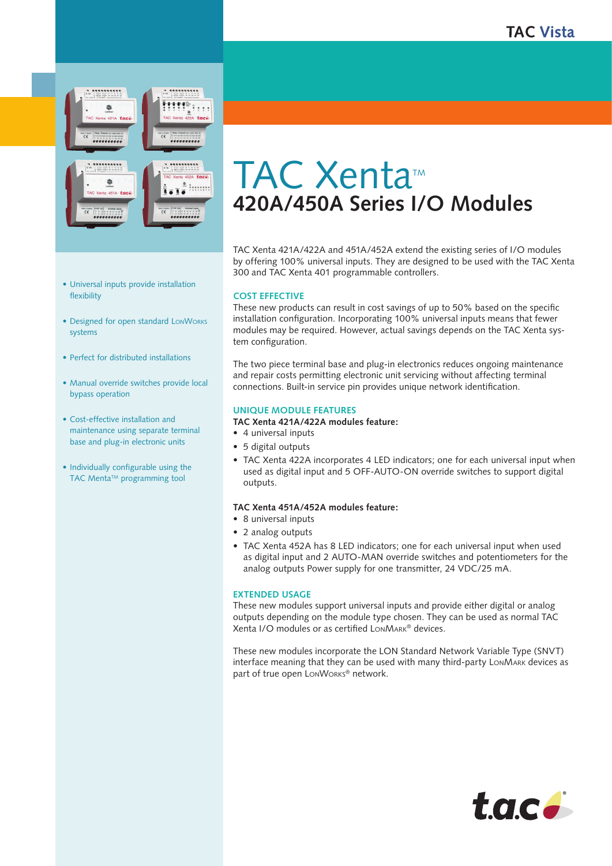

TAC Xenta<sup>™</sup> **420A/450A Series I/O Modules**

TAC Xenta 421A/422A and 451A/452A extend the existing series of I/O modules by offering 100% universal inputs. They are designed to be used with the TAC Xenta 300 and TAC Xenta 401 programmable controllers.

### **Cost Effective**

These new products can result in cost savings of up to 50% based on the specific installation configuration. Incorporating 100% universal inputs means that fewer modules may be required. However, actual savings depends on the TAC Xenta system configuration.

The two piece terminal base and plug-in electronics reduces ongoing maintenance and repair costs permitting electronic unit servicing without affecting terminal connections. Built-in service pin provides unique network identification.

# **Unique Module Features**

# **TAC Xenta 421A/422A modules feature:**

- 4 universal inputs
- 5 digital outputs
- TAC Xenta 422A incorporates 4 LED indicators; one for each universal input when used as digital input and 5 OFF-AUTO-ON override switches to support digital outputs.

### **TAC Xenta 451A/452A modules feature:**

- 8 universal inputs
- 2 analog outputs
- TAC Xenta 452A has 8 LED indicators; one for each universal input when used as digital input and 2 AUTO-MAN override switches and potentiometers for the analog outputs Power supply for one transmitter, 24 VDC/25 mA.

#### **Extended usage**

These new modules support universal inputs and provide either digital or analog outputs depending on the module type chosen. They can be used as normal TAC Xenta I/O modules or as certified LonMark® devices.

These new modules incorporate the LON Standard Network Variable Type (SNVT) interface meaning that they can be used with many third-party LonMark devices as part of true open LONWORKS® network.



- Designed for open standard LonWorks systems
- Perfect for distributed installations
- Manual override switches provide local bypass operation
- Cost-effective installation and maintenance using separate terminal base and plug-in electronic units
- Individually configurable using the TAC Menta<sup>™</sup> programming tool